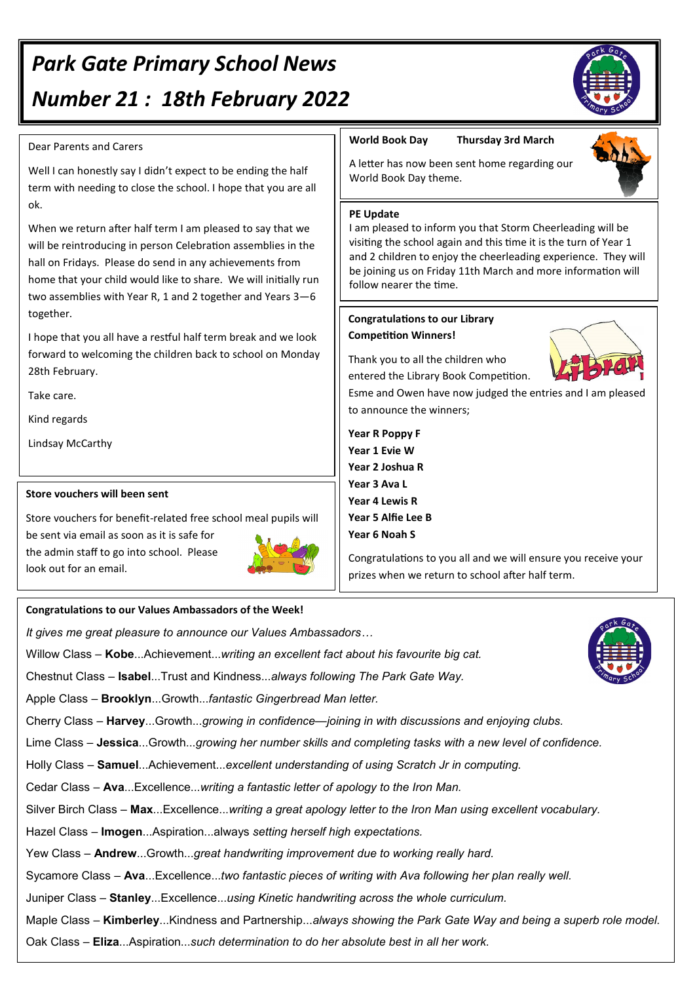# *Park Gate Primary School News Number 21 : 18th February 2022*

#### Dear Parents and Carers

Well I can honestly say I didn't expect to be ending the half term with needing to close the school. I hope that you are all ok.

When we return after half term I am pleased to say that we will be reintroducing in person Celebration assemblies in the hall on Fridays. Please do send in any achievements from home that your child would like to share. We will initially run two assemblies with Year R, 1 and 2 together and Years 3—6 together.

I hope that you all have a restful half term break and we look forward to welcoming the children back to school on Monday 28th February.

Take care.

Kind regards

Lindsay McCarthy

#### **Store vouchers will been sent**

Store vouchers for benefit-related free school meal pupils will be sent via email as soon as it is safe for the admin staff to go into school. Please look out for an email.

#### **Congratulations to our Values Ambassadors of the Week!**

*It gives me great pleasure to announce our Values Ambassadors…*

Willow Class – **Kobe**...Achievement...*writing an excellent fact about his favourite big cat.*

Chestnut Class – **Isabel**...Trust and Kindness...*always following The Park Gate Way.*

Apple Class – **Brooklyn**...Growth...*fantastic Gingerbread Man letter.*

Cherry Class – **Harvey**...Growth...*growing in confidence—joining in with discussions and enjoying clubs.*

Lime Class – **Jessica**...Growth...*growing her number skills and completing tasks with a new level of confidence.*

Holly Class – **Samuel**...Achievement...*excellent understanding of using Scratch Jr in computing.*

Cedar Class – **Ava**...Excellence...*writing a fantastic letter of apology to the Iron Man.*

Silver Birch Class – **Max**...Excellence...*writing a great apology letter to the Iron Man using excellent vocabulary.*

Hazel Class *–* **Imogen**...Aspiration...always *setting herself high expectations.*

Yew Class – **Andrew**...Growth...*great handwriting improvement due to working really hard.*

Sycamore Class – **Ava**...Excellence...*two fantastic pieces of writing with Ava following her plan really well.*

Juniper Class – **Stanley**...Excellence...*using Kinetic handwriting across the whole curriculum.*

Maple Class – **Kimberley**...Kindness and Partnership...*always showing the Park Gate Way and being a superb role model.*

Oak Class – **Eliza**...Aspiration...*such determination to do her absolute best in all her work.*

#### **World Book Day Thursday 3rd March**

A letter has now been sent home regarding our World Book Day theme.

#### **PE Update**

I am pleased to inform you that Storm Cheerleading will be visiting the school again and this time it is the turn of Year 1 and 2 children to enjoy the cheerleading experience. They will be joining us on Friday 11th March and more information will follow nearer the time.

#### **Congratulations to our Library Competition Winners!**

Thank you to all the children who entered the Library Book Competition.



Esme and Owen have now judged the entries and I am pleased to announce the winners;

**Year R Poppy F Year 1 Evie W Year 2 Joshua R Year 3 Ava L Year 4 Lewis R Year 5 Alfie Lee B Year 6 Noah S**

Congratulations to you all and we will ensure you receive your prizes when we return to school after half term.